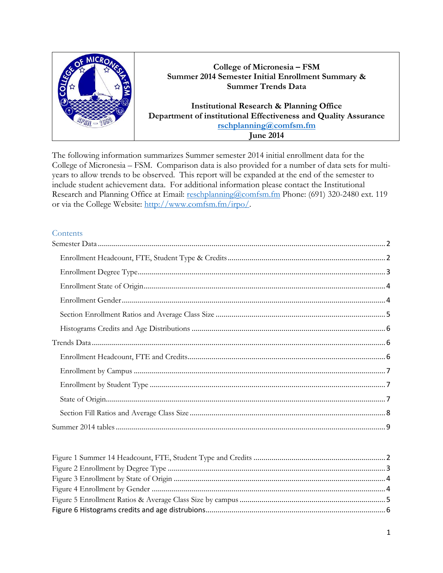

# **College of Micronesia – FSM Summer 2014 Semester Initial Enrollment Summary & Summer Trends Data**

#### **Institutional Research & Planning Office Department of institutional Effectiveness and Quality Assurance [rschplanning@comfsm.fm](mailto:rschplanning@comfsm.fm) June 2014**

The following information summarizes Summer semester 2014 initial enrollment data for the College of Micronesia – FSM. Comparison data is also provided for a number of data sets for multiyears to allow trends to be observed. This report will be expanded at the end of the semester to include student achievement data. For additional information please contact the Institutional Research and Planning Office at Email: [reschplanning@comfsm.fm](mailto:reschplanning@comfsm.fm) Phone: (691) 320-2480 ext. 119 or via the College Website: [http://www.comfsm.fm/irpo/.](http://www.comfsm.fm/irpo/)

## **Contents**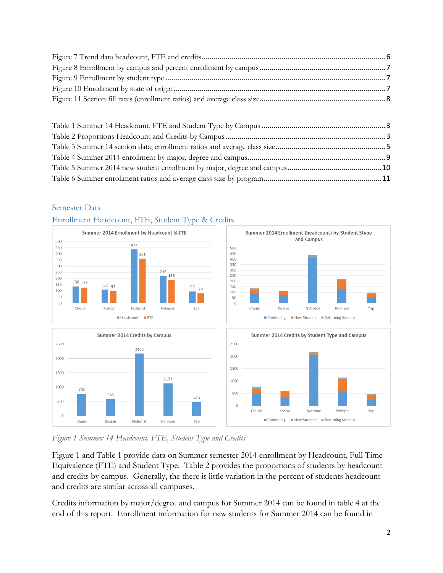

2165

#### <span id="page-1-0"></span>Semester Data

2000

1500

1000

500

 $\circ$ 

762

Chuuk

583

Kosrae



 $\blacksquare$  Continuing

## <span id="page-1-1"></span>Enrollment Headcount, FTE, Student Type & Credits

<span id="page-1-2"></span>*Figure 1 Summer 14 Headcount, FTE, Student Type and Credits*

National

1133

Pohnpei

473

Yap

Figure 1 and Table 1 provide data on Summer semester 2014 enrollment by Headcount, Full Time Equivalence (FTE) and Student Type. Table 2 provides the proportions of students by headcount and credits by campus. Generally, the there is little variation in the percent of students headcount and credits are similar across all campuses.

Credits information by major/degree and campus for Summer 2014 can be found in table 4 at the end of this report. Enrollment information for new students for Summer 2014 can be found in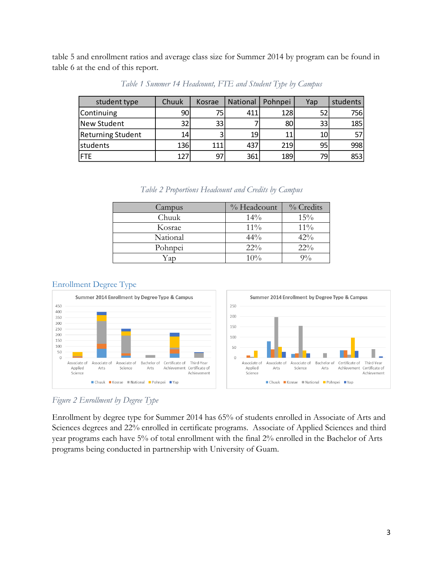<span id="page-2-2"></span>table 5 and enrollment ratios and average class size for Summer 2014 by program can be found in table 6 at the end of this report.

| student type             | Chuuk           | Kosrae | <b>National</b> | Pohnpei | Yap | students |
|--------------------------|-----------------|--------|-----------------|---------|-----|----------|
| Continuing               | 90 <sub>1</sub> |        | 411             | 128     | 52  | 756      |
| New Student              | 32              | 33     |                 | 80      | 33  | 185      |
| <b>Returning Student</b> | 14              |        | 19              |         | 10  | 57       |
| <b>students</b>          | 136             | 111    | 437             | 219     | 95  | 998      |
| <b>IFTE</b>              | 177             | 97     | 361             | 189     | 79  | 853      |

*Table 1 Summer 14 Headcount, FTE and Student Type by Campus*

<span id="page-2-3"></span>

| Campus   | % Headcount | % Credits |
|----------|-------------|-----------|
| Chuuk    | 14%         | 15%       |
| Kosrae   | $11\%$      | $11\%$    |
| National | $44\%$      | 42%       |
| Pohnpei  | $22\%$      | $22\%$    |
| Yap      | 10%         | 9%        |

### <span id="page-2-0"></span>Enrollment Degree Type



# <span id="page-2-1"></span>*Figure 2 Enrollment by Degree Type*

Enrollment by degree type for Summer 2014 has 65% of students enrolled in Associate of Arts and Sciences degrees and 22% enrolled in certificate programs. Associate of Applied Sciences and third year programs each have 5% of total enrollment with the final 2% enrolled in the Bachelor of Arts programs being conducted in partnership with University of Guam.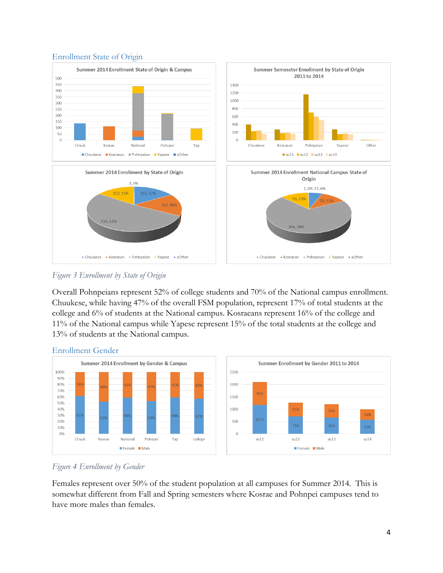<span id="page-3-0"></span>



<span id="page-3-2"></span>*Figure 3 Enrollment by State of Origin*

Overall Pohnpeians represent 52% of college students and 70% of the National campus enrollment. Chuukese, while having 47% of the overall FSM population, represent 17% of total students at the college and 6% of students at the National campus. Kosraeans represent 16% of the college and 11% of the National campus while Yapese represent 15% of the total students at the college and 13% of students at the National campus.



<span id="page-3-1"></span>

<span id="page-3-3"></span>*Figure 4 Enrollment by Gender*

Females represent over 50% of the student population at all campuses for Summer 2014. This is somewhat different from Fall and Spring semesters where Kosrae and Pohnpei campuses tend to have more males than females.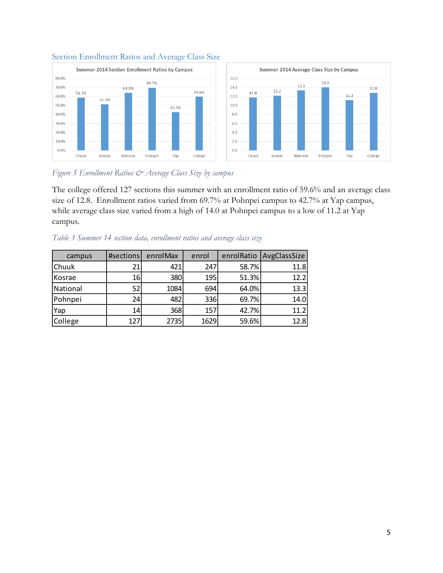

#### <span id="page-4-0"></span>Section Enrollment Ratios and Average Class Size

#### <span id="page-4-1"></span>*Figure 5 Enrollment Ratios & Average Class Size by campus*

The college offered 127 sections this summer with an enrollment ratio of 59.6% and an average class size of 12.8. Enrollment ratios varied from 69.7% at Pohnpei campus to 42.7% at Yap campus, while average class size varied from a high of 14.0 at Pohnpei campus to a low of 11.2 at Yap campus.

<span id="page-4-2"></span>

|  |  |  | Table 3 Summer 14 section data, enrollment ratios and average class size |  |  |  |
|--|--|--|--------------------------------------------------------------------------|--|--|--|
|  |  |  |                                                                          |  |  |  |

| campus   | #sections | enrolMax | enrol | enrolRatio | AvgClassSize |
|----------|-----------|----------|-------|------------|--------------|
| Chuuk    | 21        | 421      | 247   | 58.7%      | 11.8         |
| Kosrae   | 16        | 380      | 195   | 51.3%      | 12.2         |
| National | 52        | 1084     | 694   | 64.0%      | 13.3         |
| Pohnpei  | 24        | 482      | 336   | 69.7%      | 14.0         |
| Yap      | 14        | 368      | 157   | 42.7%      | 11.2         |
| College  | 127       | 2735     | 1629  | 59.6%      | 12.8         |

12.8

College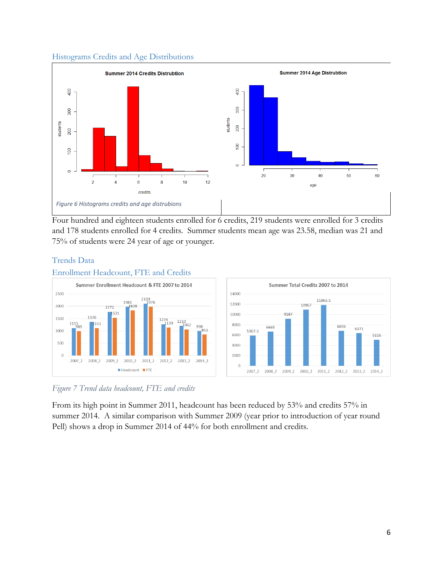#### <span id="page-5-0"></span>Histograms Credits and Age Distributions



<span id="page-5-3"></span>Four hundred and eighteen students enrolled for 6 credits, 219 students were enrolled for 3 credits and 178 students enrolled for 4 credits. Summer students mean age was 23.58, median was 21 and 75% of students were 24 year of age or younger.

# <span id="page-5-1"></span>Trends Data

<span id="page-5-2"></span>

<span id="page-5-4"></span>*Figure 7 Trend data headcount, FTE and credits*

From its high point in Summer 2011, headcount has been reduced by 53% and credits 57% in summer 2014. A similar comparison with Summer 2009 (year prior to introduction of year round Pell) shows a drop in Summer 2014 of 44% for both enrollment and credits.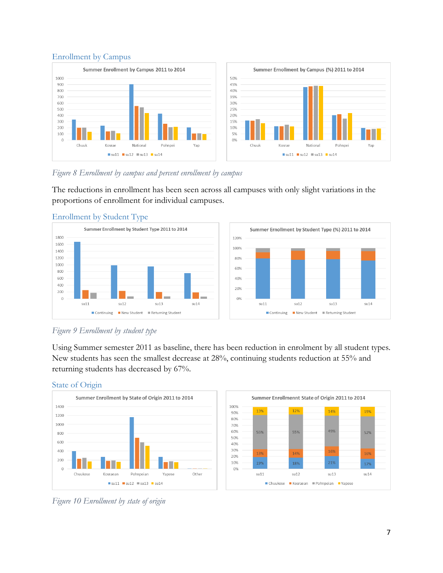#### <span id="page-6-0"></span>Enrollment by Campus



#### <span id="page-6-3"></span>*Figure 8 Enrollment by campus and percent enrollment by campus*

The reductions in enrollment has been seen across all campuses with only slight variations in the proportions of enrollment for individual campuses.





### <span id="page-6-1"></span>Enrollment by Student Type

<span id="page-6-4"></span>

Using Summer semester 2011 as baseline, there has been reduction in enrolment by all student types. New students has seen the smallest decrease at 28%, continuing students reduction at 55% and returning students has decreased by 67%.

#### <span id="page-6-2"></span>State of Origin





<span id="page-6-5"></span>*Figure 10 Enrollment by state of origin*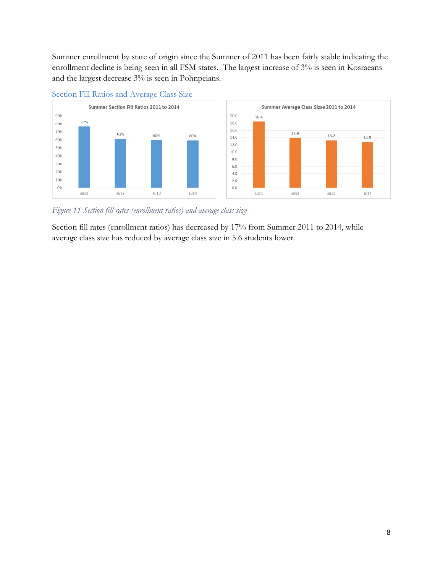Summer enrollment by state of origin since the Summer of 2011 has been fairly stable indicating the enrollment decline is being seen in all FSM states. The largest increase of 3% is seen in Kosraeans and the largest decrease 3% is seen in Pohnpeians.



<span id="page-7-0"></span>

<span id="page-7-1"></span>*Figure 11 Section fill rates (enrollment ratios) and average class size*

Section fill rates (enrollment ratios) has decreased by 17% from Summer 2011 to 2014, while average class size has reduced by average class size in 5.6 students lower.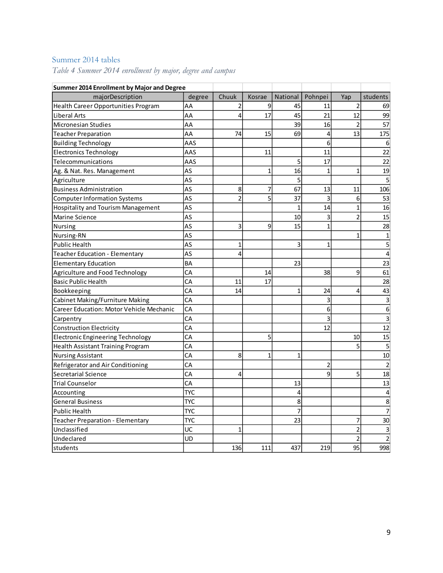# <span id="page-8-0"></span>Summer 2014 tables

| Summer 2014 Enrollment by Major and Degree |            |                |                |                |                |                |                |
|--------------------------------------------|------------|----------------|----------------|----------------|----------------|----------------|----------------|
| majorDescription                           | degree     | Chuuk          | Kosrae         | National       | Pohnpei        | Yap            | students       |
| Health Career Opportunities Program        | AA         | $\overline{2}$ | $\overline{9}$ | 45             | 11             | $\overline{c}$ | 69             |
| Liberal Arts                               | AA         | 4              | 17             | 45             | 21             | 12             | 99             |
| <b>Micronesian Studies</b>                 | AA         |                |                | 39             | 16             | $\overline{2}$ | 57             |
| <b>Teacher Preparation</b>                 | AA         | 74             | 15             | 69             | 4              | 13             | 175            |
| <b>Building Technology</b>                 | AAS        |                |                |                | 6              |                | 6              |
| <b>Electronics Technology</b>              | AAS        |                | 11             |                | 11             |                | 22             |
| Telecommunications                         | AAS        |                |                | 5              | 17             |                | 22             |
| Ag. & Nat. Res. Management                 | AS         |                | 1              | 16             | $\overline{1}$ | $\overline{1}$ | 19             |
| Agriculture                                | AS         |                |                | 5              |                |                | 5              |
| <b>Business Administration</b>             | AS         | 8              | 7              | 67             | 13             | 11             | 106            |
| <b>Computer Information Systems</b>        | AS         | $\overline{2}$ | 5              | 37             | 3              | 6              | 53             |
| Hospitality and Tourism Management         | AS         |                |                | 1              | 14             | 1              | 16             |
| <b>Marine Science</b>                      | AS         |                |                | 10             | 3              | $\overline{2}$ | 15             |
| <b>Nursing</b>                             | AS         | 3              | 9              | 15             | $\mathbf{1}$   |                | 28             |
| Nursing-RN                                 | AS         |                |                |                |                | $\overline{1}$ | $\mathbf{1}$   |
| <b>Public Health</b>                       | AS         | $\overline{1}$ |                | 3              | 1              |                | 5              |
| Teacher Education - Elementary             | AS         | 4              |                |                |                |                | 4              |
| <b>Elementary Education</b>                | <b>BA</b>  |                |                | 23             |                |                | 23             |
| Agriculture and Food Technology            | CA         |                | 14             |                | 38             | 9              | 61             |
| <b>Basic Public Health</b>                 | CA         | 11             | 17             |                |                |                | 28             |
| Bookkeeping                                | CA         | 14             |                | 1              | 24             | 4              | 43             |
| Cabinet Making/Furniture Making            | CA         |                |                |                | 3              |                | 3              |
| Career Education: Motor Vehicle Mechanic   | CA         |                |                |                | 6              |                | 6              |
| Carpentry                                  | CA         |                |                |                | 3              |                | 3              |
| <b>Construction Electricity</b>            | CA         |                |                |                | 12             |                | 12             |
| <b>Electronic Engineering Technology</b>   | CA         |                | 5              |                |                | 10             | 15             |
| Health Assistant Training Program          | CA         |                |                |                |                | 5              | 5              |
| <b>Nursing Assistant</b>                   | CA         | 8              | 1              | $\overline{1}$ |                |                | 10             |
| Refrigerator and Air Conditioning          | CA         |                |                |                | $\overline{c}$ |                | $\overline{2}$ |
| Secretarial Science                        | CA         | 4              |                |                | 9              | 5              | 18             |
| <b>Trial Counselor</b>                     | CA         |                |                | 13             |                |                | 13             |
| Accounting                                 | <b>TYC</b> |                |                | 4              |                |                | $\overline{4}$ |
| <b>General Business</b>                    | <b>TYC</b> |                |                | 8              |                |                | 8              |
| Public Health                              | <b>TYC</b> |                |                | 7              |                |                | 7              |
| Teacher Preparation - Elementary           | <b>TYC</b> |                |                | 23             |                | 7              | 30             |
| Unclassified                               | UC         | 1              |                |                |                | $\overline{2}$ | 3              |
| Undeclared                                 | UD         |                |                |                |                | $\overline{c}$ | $\mathbf 2$    |
| students                                   |            | <b>136</b>     | 111            | 437            | 219            | 95             | 998            |

<span id="page-8-1"></span>*Table 4 Summer 2014 enrollment by major, degree and campus*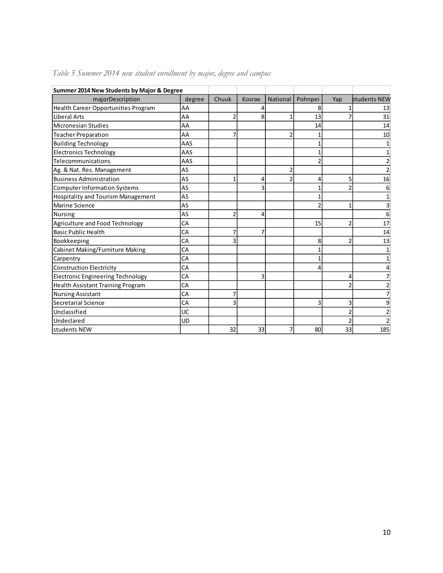| Summer 2014 New Students by Major & Degree |           |       |        |                 |         |                |              |
|--------------------------------------------|-----------|-------|--------|-----------------|---------|----------------|--------------|
| majorDescription                           | degree    | Chuuk | Kosrae | <b>National</b> | Pohnpei | Yap            | students NEW |
| Health Career Opportunities Program        | AA        |       | 4      |                 | 8       | 1              | 13           |
| <b>Liberal Arts</b>                        | AA        | 2     | 8      | 1               | 13      |                | 31           |
| <b>Micronesian Studies</b>                 | AA        |       |        |                 | 14      |                | 14           |
| <b>Teacher Preparation</b>                 | AA        | 7     |        | $\overline{2}$  | 1       |                | 10           |
| <b>Building Technology</b>                 | AAS       |       |        |                 |         |                |              |
| <b>Electronics Technology</b>              | AAS       |       |        |                 |         |                |              |
| Telecommunications                         | AAS       |       |        |                 |         |                |              |
| Ag. & Nat. Res. Management                 | AS        |       |        | $\overline{c}$  |         |                |              |
| <b>Business Administration</b>             | AS        | 1     | 4      | $\overline{c}$  | 4       | 5              | 16           |
| <b>Computer Information Systems</b>        | AS        |       | 3      |                 |         | 2              |              |
| Hospitality and Tourism Management         | AS        |       |        |                 |         |                |              |
| Marine Science                             | AS        |       |        |                 |         | $\mathbf{1}$   |              |
| <b>Nursing</b>                             | AS        | 2     | 4      |                 |         |                |              |
| Agriculture and Food Technology            | CA        |       |        |                 | 15      | 2              | 17           |
| <b>Basic Public Health</b>                 | CA        | 7     |        |                 |         |                | 14           |
| Bookkeeping                                | CA        | 3     |        |                 | 8       | 2              | 13           |
| Cabinet Making/Furniture Making            | CA        |       |        |                 |         |                |              |
| Carpentry                                  | CA        |       |        |                 |         |                |              |
| <b>Construction Electricity</b>            | CA        |       |        |                 |         |                |              |
| <b>Electronic Engineering Technology</b>   | CA        |       | 3      |                 |         | 4              |              |
| Health Assistant Training Program          | CA        |       |        |                 |         | 2              |              |
| Nursing Assistant                          | CA        | 7     |        |                 |         |                |              |
| Secretarial Science                        | CA        | 3     |        |                 | 3       | 3              |              |
| Unclassified                               | UC        |       |        |                 |         | $\overline{2}$ |              |
| Undeclared                                 | <b>UD</b> |       |        |                 |         | 2              |              |
| students NEW                               |           | 32    | 33     | 7               | 80      | 33             | 185          |

# <span id="page-9-0"></span>*Table 5 Summer 2014 new student enrollment by major, degree and campus*